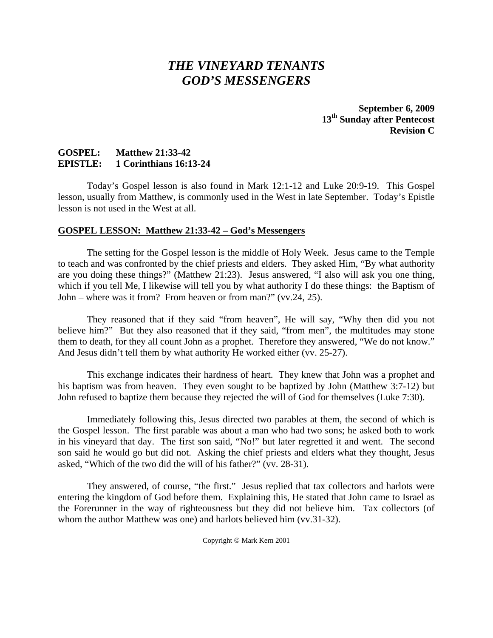# *THE VINEYARD TENANTS GOD'S MESSENGERS*

**September 6, 2009 13th Sunday after Pentecost Revision C** 

## **GOSPEL: Matthew 21:33-42 EPISTLE: 1 Corinthians 16:13-24**

 Today's Gospel lesson is also found in Mark 12:1-12 and Luke 20:9-19. This Gospel lesson, usually from Matthew, is commonly used in the West in late September. Today's Epistle lesson is not used in the West at all.

## **GOSPEL LESSON: Matthew 21:33-42 – God's Messengers**

 The setting for the Gospel lesson is the middle of Holy Week. Jesus came to the Temple to teach and was confronted by the chief priests and elders. They asked Him, "By what authority are you doing these things?" (Matthew 21:23). Jesus answered, "I also will ask you one thing, which if you tell Me, I likewise will tell you by what authority I do these things: the Baptism of John – where was it from? From heaven or from man?" (vv.24, 25).

 They reasoned that if they said "from heaven", He will say, "Why then did you not believe him?" But they also reasoned that if they said, "from men", the multitudes may stone them to death, for they all count John as a prophet. Therefore they answered, "We do not know." And Jesus didn't tell them by what authority He worked either (vv. 25-27).

 This exchange indicates their hardness of heart. They knew that John was a prophet and his baptism was from heaven. They even sought to be baptized by John (Matthew 3:7-12) but John refused to baptize them because they rejected the will of God for themselves (Luke 7:30).

 Immediately following this, Jesus directed two parables at them, the second of which is the Gospel lesson. The first parable was about a man who had two sons; he asked both to work in his vineyard that day. The first son said, "No!" but later regretted it and went. The second son said he would go but did not. Asking the chief priests and elders what they thought, Jesus asked, "Which of the two did the will of his father?" (vv. 28-31).

 They answered, of course, "the first." Jesus replied that tax collectors and harlots were entering the kingdom of God before them. Explaining this, He stated that John came to Israel as the Forerunner in the way of righteousness but they did not believe him. Tax collectors (of whom the author Matthew was one) and harlots believed him (vv.31-32).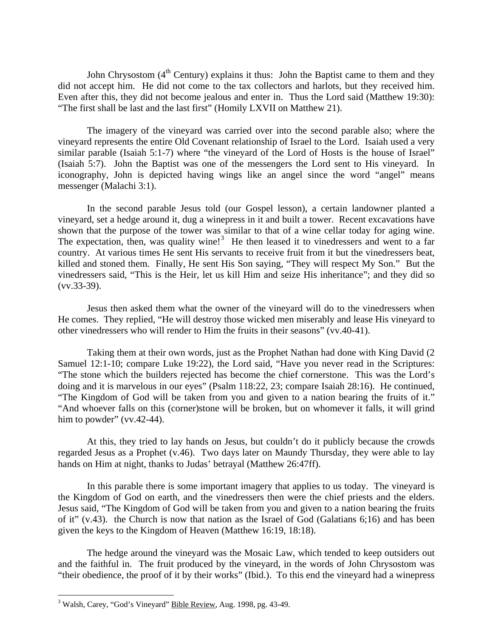John Chrysostom  $(4<sup>th</sup>$  Century) explains it thus: John the Baptist came to them and they did not accept him. He did not come to the tax collectors and harlots, but they received him. Even after this, they did not become jealous and enter in. Thus the Lord said (Matthew 19:30): "The first shall be last and the last first" (Homily LXVII on Matthew 21).

 The imagery of the vineyard was carried over into the second parable also; where the vineyard represents the entire Old Covenant relationship of Israel to the Lord. Isaiah used a very similar parable (Isaiah 5:1-7) where "the vineyard of the Lord of Hosts is the house of Israel" (Isaiah 5:7). John the Baptist was one of the messengers the Lord sent to His vineyard. In iconography, John is depicted having wings like an angel since the word "angel" means messenger (Malachi 3:1).

 In the second parable Jesus told (our Gospel lesson), a certain landowner planted a vineyard, set a hedge around it, dug a winepress in it and built a tower. Recent excavations have shown that the purpose of the tower was similar to that of a wine cellar today for aging wine. The expectation, then, was quality wine!<sup>[3](#page-1-0)</sup> He then leased it to vinedressers and went to a far country. At various times He sent His servants to receive fruit from it but the vinedressers beat, killed and stoned them. Finally, He sent His Son saying, "They will respect My Son." But the vinedressers said, "This is the Heir, let us kill Him and seize His inheritance"; and they did so (vv.33-39).

 Jesus then asked them what the owner of the vineyard will do to the vinedressers when He comes. They replied, "He will destroy those wicked men miserably and lease His vineyard to other vinedressers who will render to Him the fruits in their seasons" (vv.40-41).

 Taking them at their own words, just as the Prophet Nathan had done with King David (2 Samuel 12:1-10; compare Luke 19:22), the Lord said, "Have you never read in the Scriptures: "The stone which the builders rejected has become the chief cornerstone. This was the Lord's doing and it is marvelous in our eyes" (Psalm 118:22, 23; compare Isaiah 28:16). He continued, "The Kingdom of God will be taken from you and given to a nation bearing the fruits of it." "And whoever falls on this (corner)stone will be broken, but on whomever it falls, it will grind him to powder"  $(vv.42-44)$ .

 At this, they tried to lay hands on Jesus, but couldn't do it publicly because the crowds regarded Jesus as a Prophet (v.46). Two days later on Maundy Thursday, they were able to lay hands on Him at night, thanks to Judas' betrayal (Matthew 26:47ff).

 In this parable there is some important imagery that applies to us today. The vineyard is the Kingdom of God on earth, and the vinedressers then were the chief priests and the elders. Jesus said, "The Kingdom of God will be taken from you and given to a nation bearing the fruits of it" (v.43). the Church is now that nation as the Israel of God (Galatians 6;16) and has been given the keys to the Kingdom of Heaven (Matthew 16:19, 18:18).

 The hedge around the vineyard was the Mosaic Law, which tended to keep outsiders out and the faithful in. The fruit produced by the vineyard, in the words of John Chrysostom was "their obedience, the proof of it by their works" (Ibid.). To this end the vineyard had a winepress

<u>.</u>

<span id="page-1-0"></span><sup>&</sup>lt;sup>3</sup> Walsh, Carey, "God's Vineyard" **Bible Review**, Aug. 1998, pg. 43-49.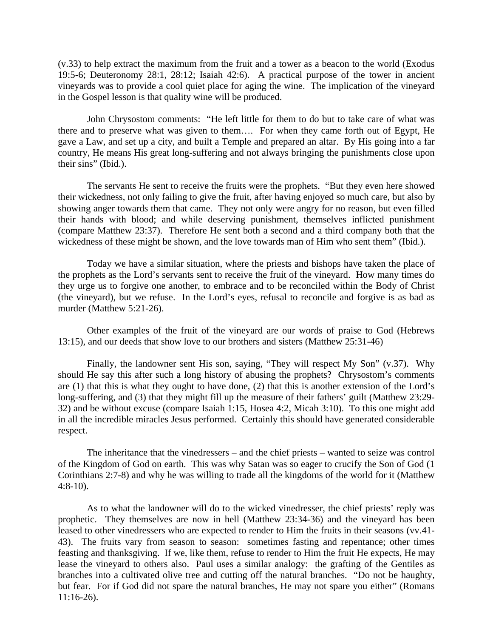(v.33) to help extract the maximum from the fruit and a tower as a beacon to the world (Exodus 19:5-6; Deuteronomy 28:1, 28:12; Isaiah 42:6). A practical purpose of the tower in ancient vineyards was to provide a cool quiet place for aging the wine. The implication of the vineyard in the Gospel lesson is that quality wine will be produced.

 John Chrysostom comments: "He left little for them to do but to take care of what was there and to preserve what was given to them…. For when they came forth out of Egypt, He gave a Law, and set up a city, and built a Temple and prepared an altar. By His going into a far country, He means His great long-suffering and not always bringing the punishments close upon their sins" (Ibid.).

 The servants He sent to receive the fruits were the prophets. "But they even here showed their wickedness, not only failing to give the fruit, after having enjoyed so much care, but also by showing anger towards them that came. They not only were angry for no reason, but even filled their hands with blood; and while deserving punishment, themselves inflicted punishment (compare Matthew 23:37). Therefore He sent both a second and a third company both that the wickedness of these might be shown, and the love towards man of Him who sent them" (Ibid.).

 Today we have a similar situation, where the priests and bishops have taken the place of the prophets as the Lord's servants sent to receive the fruit of the vineyard. How many times do they urge us to forgive one another, to embrace and to be reconciled within the Body of Christ (the vineyard), but we refuse. In the Lord's eyes, refusal to reconcile and forgive is as bad as murder (Matthew 5:21-26).

Other examples of the fruit of the vineyard are our words of praise to God (Hebrews 13:15), and our deeds that show love to our brothers and sisters (Matthew 25:31-46)

 Finally, the landowner sent His son, saying, "They will respect My Son" (v.37). Why should He say this after such a long history of abusing the prophets? Chrysostom's comments are (1) that this is what they ought to have done, (2) that this is another extension of the Lord's long-suffering, and (3) that they might fill up the measure of their fathers' guilt (Matthew 23:29-32) and be without excuse (compare Isaiah 1:15, Hosea 4:2, Micah 3:10). To this one might add in all the incredible miracles Jesus performed. Certainly this should have generated considerable respect.

 The inheritance that the vinedressers – and the chief priests – wanted to seize was control of the Kingdom of God on earth. This was why Satan was so eager to crucify the Son of God (1 Corinthians 2:7-8) and why he was willing to trade all the kingdoms of the world for it (Matthew 4:8-10).

 As to what the landowner will do to the wicked vinedresser, the chief priests' reply was prophetic. They themselves are now in hell (Matthew 23:34-36) and the vineyard has been leased to other vinedressers who are expected to render to Him the fruits in their seasons (vv.41- 43). The fruits vary from season to season: sometimes fasting and repentance; other times feasting and thanksgiving. If we, like them, refuse to render to Him the fruit He expects, He may lease the vineyard to others also. Paul uses a similar analogy: the grafting of the Gentiles as branches into a cultivated olive tree and cutting off the natural branches. "Do not be haughty, but fear. For if God did not spare the natural branches, He may not spare you either" (Romans 11:16-26).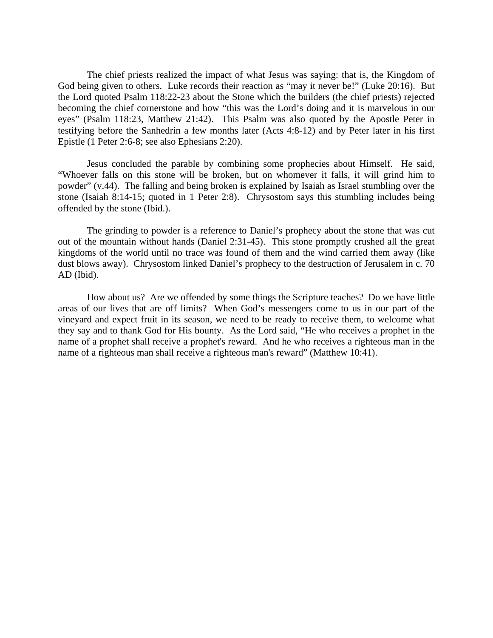The chief priests realized the impact of what Jesus was saying: that is, the Kingdom of God being given to others. Luke records their reaction as "may it never be!" (Luke 20:16). But the Lord quoted Psalm 118:22-23 about the Stone which the builders (the chief priests) rejected becoming the chief cornerstone and how "this was the Lord's doing and it is marvelous in our eyes" (Psalm 118:23, Matthew 21:42). This Psalm was also quoted by the Apostle Peter in testifying before the Sanhedrin a few months later (Acts 4:8-12) and by Peter later in his first Epistle (1 Peter 2:6-8; see also Ephesians 2:20).

 Jesus concluded the parable by combining some prophecies about Himself. He said, "Whoever falls on this stone will be broken, but on whomever it falls, it will grind him to powder" (v.44). The falling and being broken is explained by Isaiah as Israel stumbling over the stone (Isaiah 8:14-15; quoted in 1 Peter 2:8). Chrysostom says this stumbling includes being offended by the stone (Ibid.).

 The grinding to powder is a reference to Daniel's prophecy about the stone that was cut out of the mountain without hands (Daniel 2:31-45). This stone promptly crushed all the great kingdoms of the world until no trace was found of them and the wind carried them away (like dust blows away). Chrysostom linked Daniel's prophecy to the destruction of Jerusalem in c. 70 AD (Ibid).

 How about us? Are we offended by some things the Scripture teaches? Do we have little areas of our lives that are off limits? When God's messengers come to us in our part of the vineyard and expect fruit in its season, we need to be ready to receive them, to welcome what they say and to thank God for His bounty. As the Lord said, "He who receives a prophet in the name of a prophet shall receive a prophet's reward. And he who receives a righteous man in the name of a righteous man shall receive a righteous man's reward" (Matthew 10:41).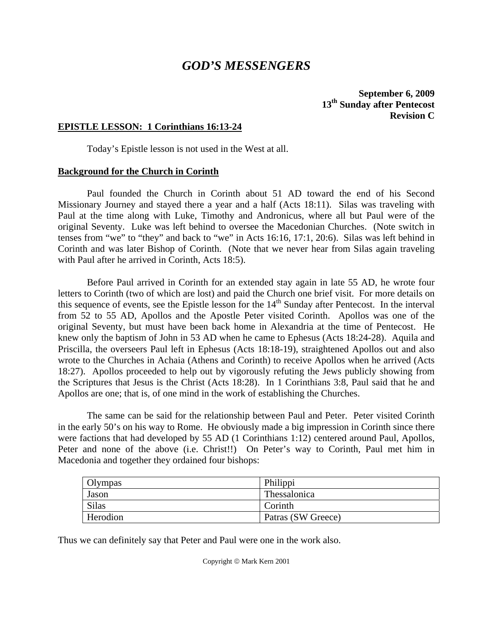## *GOD'S MESSENGERS*

**September 6, 2009 13th Sunday after Pentecost Revision C**

## **EPISTLE LESSON: 1 Corinthians 16:13-24**

Today's Epistle lesson is not used in the West at all.

#### **Background for the Church in Corinth**

 Paul founded the Church in Corinth about 51 AD toward the end of his Second Missionary Journey and stayed there a year and a half (Acts 18:11). Silas was traveling with Paul at the time along with Luke, Timothy and Andronicus, where all but Paul were of the original Seventy. Luke was left behind to oversee the Macedonian Churches. (Note switch in tenses from "we" to "they" and back to "we" in Acts 16:16, 17:1, 20:6). Silas was left behind in Corinth and was later Bishop of Corinth. (Note that we never hear from Silas again traveling with Paul after he arrived in Corinth, Acts 18:5).

 Before Paul arrived in Corinth for an extended stay again in late 55 AD, he wrote four letters to Corinth (two of which are lost) and paid the Church one brief visit. For more details on this sequence of events, see the Epistle lesson for the  $14<sup>th</sup>$  Sunday after Pentecost. In the interval from 52 to 55 AD, Apollos and the Apostle Peter visited Corinth. Apollos was one of the original Seventy, but must have been back home in Alexandria at the time of Pentecost. He knew only the baptism of John in 53 AD when he came to Ephesus (Acts 18:24-28). Aquila and Priscilla, the overseers Paul left in Ephesus (Acts 18:18-19), straightened Apollos out and also wrote to the Churches in Achaia (Athens and Corinth) to receive Apollos when he arrived (Acts 18:27). Apollos proceeded to help out by vigorously refuting the Jews publicly showing from the Scriptures that Jesus is the Christ (Acts 18:28). In 1 Corinthians 3:8, Paul said that he and Apollos are one; that is, of one mind in the work of establishing the Churches.

 The same can be said for the relationship between Paul and Peter. Peter visited Corinth in the early 50's on his way to Rome. He obviously made a big impression in Corinth since there were factions that had developed by 55 AD (1 Corinthians 1:12) centered around Paul, Apollos, Peter and none of the above (i.e. Christ!!) On Peter's way to Corinth, Paul met him in Macedonia and together they ordained four bishops:

| Olympas      | Philippi           |
|--------------|--------------------|
| Jason        | Thessalonica       |
| <b>Silas</b> | Corinth            |
| Herodion     | Patras (SW Greece) |

Thus we can definitely say that Peter and Paul were one in the work also.

Copyright © Mark Kern 2001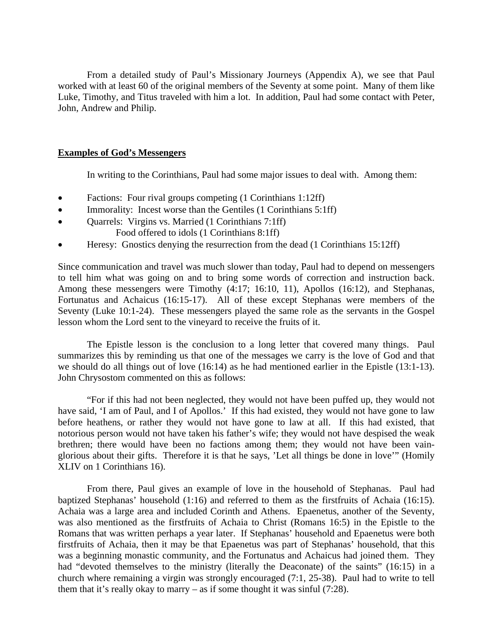From a detailed study of Paul's Missionary Journeys (Appendix A), we see that Paul worked with at least 60 of the original members of the Seventy at some point. Many of them like Luke, Timothy, and Titus traveled with him a lot. In addition, Paul had some contact with Peter, John, Andrew and Philip.

## **Examples of God's Messengers**

In writing to the Corinthians, Paul had some major issues to deal with. Among them:

- Factions: Four rival groups competing  $(1$  Corinthians 1:12ff)
- Immorality: Incest worse than the Gentiles (1 Corinthians 5:1ff)
- Quarrels: Virgins vs. Married (1 Corinthians 7:1ff)
	- Food offered to idols (1 Corinthians 8:1ff)
- Heresy: Gnostics denying the resurrection from the dead (1 Corinthians 15:12ff)

Since communication and travel was much slower than today, Paul had to depend on messengers to tell him what was going on and to bring some words of correction and instruction back. Among these messengers were Timothy (4:17; 16:10, 11), Apollos (16:12), and Stephanas, Fortunatus and Achaicus (16:15-17). All of these except Stephanas were members of the Seventy (Luke 10:1-24). These messengers played the same role as the servants in the Gospel lesson whom the Lord sent to the vineyard to receive the fruits of it.

 The Epistle lesson is the conclusion to a long letter that covered many things. Paul summarizes this by reminding us that one of the messages we carry is the love of God and that we should do all things out of love (16:14) as he had mentioned earlier in the Epistle (13:1-13). John Chrysostom commented on this as follows:

 "For if this had not been neglected, they would not have been puffed up, they would not have said, 'I am of Paul, and I of Apollos.' If this had existed, they would not have gone to law before heathens, or rather they would not have gone to law at all. If this had existed, that notorious person would not have taken his father's wife; they would not have despised the weak brethren; there would have been no factions among them; they would not have been vainglorious about their gifts. Therefore it is that he says, 'Let all things be done in love'" (Homily XLIV on 1 Corinthians 16).

 From there, Paul gives an example of love in the household of Stephanas. Paul had baptized Stephanas' household (1:16) and referred to them as the firstfruits of Achaia (16:15). Achaia was a large area and included Corinth and Athens. Epaenetus, another of the Seventy, was also mentioned as the firstfruits of Achaia to Christ (Romans 16:5) in the Epistle to the Romans that was written perhaps a year later. If Stephanas' household and Epaenetus were both firstfruits of Achaia, then it may be that Epaenetus was part of Stephanas' household, that this was a beginning monastic community, and the Fortunatus and Achaicus had joined them. They had "devoted themselves to the ministry (literally the Deaconate) of the saints" (16:15) in a church where remaining a virgin was strongly encouraged (7:1, 25-38). Paul had to write to tell them that it's really okay to marry – as if some thought it was sinful  $(7:28)$ .